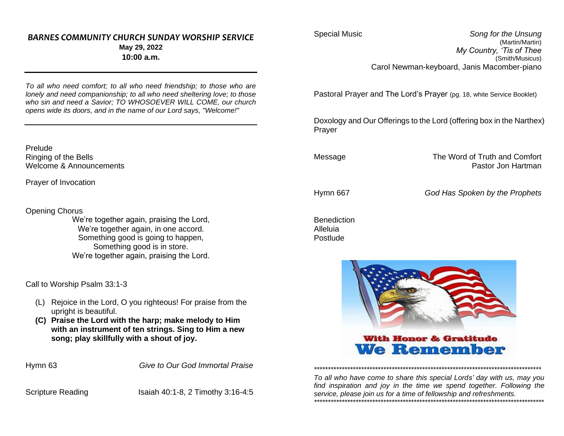#### *BARNES COMMUNITY CHURCH SUNDAY WORSHIP SERVICE* **May 29, 2022 10:00 a.m.**

*To all who need comfort; to all who need friendship; to those who are lonely and need companionship; to all who need sheltering love; to those who sin and need a Savior; TO WHOSOEVER WILL COME, our church opens wide its doors, and in the name of our Lord says, "Welcome!"*

Prelude Ringing of the Bells Welcome & Announcements

Prayer of Invocation

Opening Chorus

We're together again, praising the Lord, We're together again, in one accord. Something good is going to happen, Something good is in store. We're together again, praising the Lord.

Call to Worship Psalm 33:1-3

- (L) Rejoice in the Lord, O you righteous! For praise from the upright is beautiful.
- **(C) Praise the Lord with the harp; make melody to Him with an instrument of ten strings. Sing to Him a new song; play skillfully with a shout of joy.**

Hymn 63 *Give to Our God Immortal Praise*

Scripture Reading Isaiah 40:1-8, 2 Timothy 3:16-4:5

Special Music *Song for the Unsung* (Martin/Martin) *My Country, 'Tis of Thee* (Smith/Musicus) Carol Newman-keyboard, Janis Macomber-piano

Pastoral Prayer and The Lord's Prayer (pg. 18, white Service Booklet)

Doxology and Our Offerings to the Lord (offering box in the Narthex) Prayer

Message The Word of Truth and Comfort Pastor Jon Hartman

Hymn 667 *God Has Spoken by the Prophets*

**Benediction** Alleluia Postlude



With Honor & Gratitude **We Remember** 

*To all who have come to share this special Lords' day with us, may you find inspiration and joy in the time we spend together. Following the service, please join us for a time of fellowship and refreshments. \*\*\*\*\*\*\*\*\*\*\*\*\*\*\*\*\*\*\*\*\*\*\*\*\*\*\*\*\*\*\*\*\*\*\*\*\*\*\*\*\*\*\*\*\*\*\*\*\*\*\*\*\*\*\*\*\*\*\*\*\*\*\*\*\*\*\*\*\*\*\*\*\*\*\*\*\*\*\*\*\*\*\**

*\*\*\*\*\*\*\*\*\*\*\*\*\*\*\*\*\*\*\*\*\*\*\*\*\*\*\*\*\*\*\*\*\*\*\*\*\*\*\*\*\*\*\*\*\*\*\*\*\*\*\*\*\*\*\*\*\*\*\*\*\*\*\*\*\*\*\*\*\*\*\*\*\*\*\*\*\*\*\*\*\*\**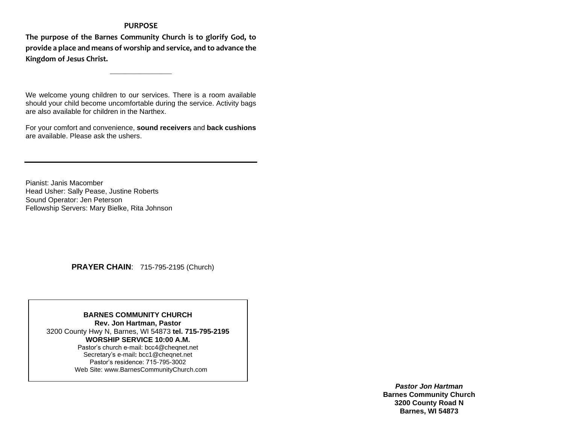#### **PURPOSE**

**The purpose of the Barnes Community Church is to glorify God, to provide a place and means of worship and service, and to advance the Kingdom of Jesus Christ.**

**\_\_\_\_\_\_\_\_\_\_\_\_\_**

We welcome young children to our services. There is a room available should your child become uncomfortable during the service. Activity bags are also available for children in the Narthex.

For your comfort and convenience, **sound receivers** and **back cushions** are available. Please ask the ushers.

Pianist: Janis Macomber Head Usher: Sally Pease, Justine Roberts Sound Operator: Jen Peterson Fellowship Servers: Mary Bielke, Rita Johnson

 **PRAYER CHAIN**: 715-795-2195 (Church)

**BARNES COMMUNITY CHURCH Rev. Jon Hartman, Pastor** 3200 County Hwy N, Barnes, WI 54873 **tel. 715-795-2195 WORSHIP SERVICE 10:00 A.M.** Pastor's church e-mail: bcc4@cheqnet.net Secretary's e-mail**:** [bcc1@cheqnet.net](mailto:bcc1@cheqnet.net) Pastor's residence: 715-795-3002 Web Site[: www.BarnesCommunityChurch.](http://www.barnescommunitychurch/)com

> *Pastor Jon Hartman* **Barnes Community Church 3200 County Road N Barnes, WI 54873**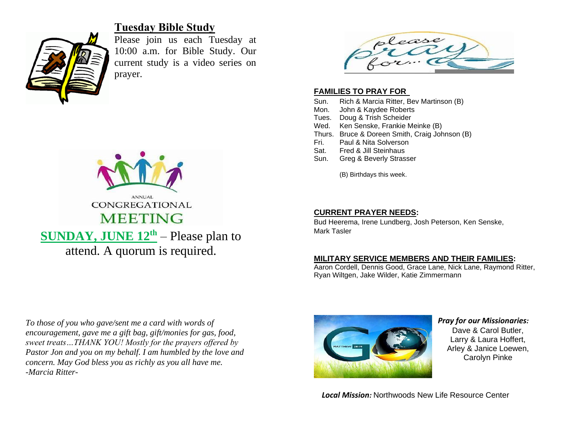

# **Tuesday Bible Study**

Please join us each Tuesday at 10:00 a.m. for Bible Study. Our current study is a video series on prayer.



attend. A quorum is required.



#### **FAMILIES TO PRAY FOR**

- Sun. Rich & Marcia Ritter, Bev Martinson (B)
- Mon. John & Kaydee Roberts
- Tues. Doug & Trish Scheider
- Wed. Ken Senske, Frankie Meinke (B)
- Thurs. Bruce & Doreen Smith, Craig Johnson (B)
- Fri. Paul & Nita Solverson
- Sat. Fred & Jill Steinhaus
- Sun. Greg & Beverly Strasser

(B) Birthdays this week.

#### **CURRENT PRAYER NEEDS:**

Bud Heerema, Irene Lundberg, Josh Peterson, Ken Senske, Mark Tasler

### **MILITARY SERVICE MEMBERS AND THEIR FAMILIES:**

Aaron Cordell, Dennis Good, Grace Lane, Nick Lane, Raymond Ritter, Ryan Wiltgen, Jake Wilder, Katie Zimmermann

*To those of you who gave/sent me a card with words of encouragement, gave me a gift bag, gift/monies for gas, food, sweet treats…THANK YOU! Mostly for the prayers offered by Pastor Jon and you on my behalf. I am humbled by the love and concern. May God bless you as richly as you all have me. -Marcia Ritter-*



#### *Pray for our Missionaries:* Dave & Carol Butler, Larry & Laura Hoffert, Arley & Janice Loewen, Carolyn Pinke

*Local Mission:* Northwoods New Life Resource Center